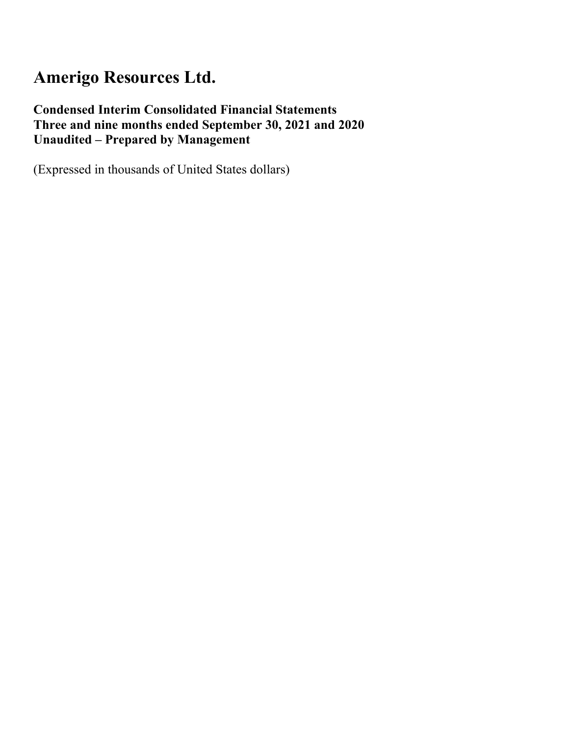### **Condensed Interim Consolidated Financial Statements Three and nine months ended September 30, 2021 and 2020 Unaudited – Prepared by Management**

(Expressed in thousands of United States dollars)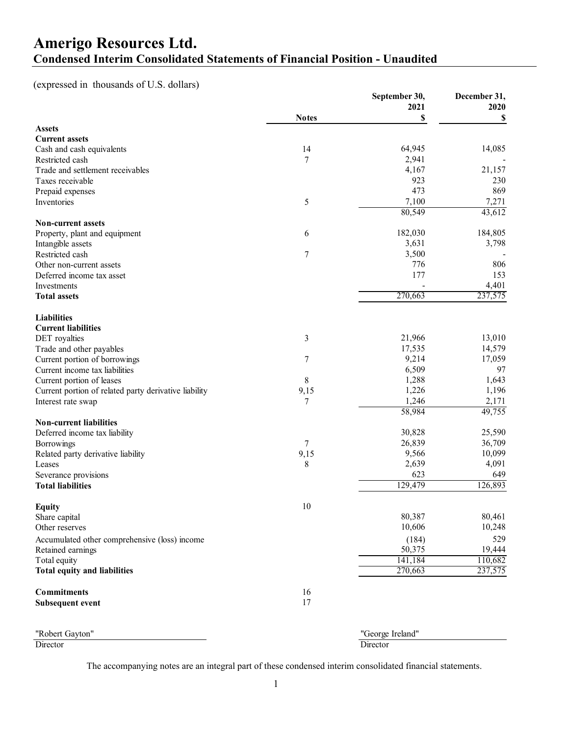### **Amerigo Resources Ltd. Condensed Interim Consolidated Statements of Financial Position - Unaudited**

(expressed in thousands of U.S. dollars)

|                                                       |              | September 30,    | December 31, |
|-------------------------------------------------------|--------------|------------------|--------------|
|                                                       |              | 2021             | 2020         |
|                                                       | <b>Notes</b> | \$               | S            |
| <b>Assets</b>                                         |              |                  |              |
| <b>Current assets</b>                                 |              |                  |              |
| Cash and cash equivalents                             | 14           | 64,945           | 14,085       |
| Restricted cash                                       | 7            | 2,941            |              |
| Trade and settlement receivables                      |              | 4,167            | 21,157       |
| Taxes receivable                                      |              | 923              | 230          |
| Prepaid expenses                                      |              | 473              | 869          |
| Inventories                                           | 5            | 7,100            | 7,271        |
|                                                       |              | 80,549           | 43,612       |
| <b>Non-current assets</b>                             |              |                  |              |
| Property, plant and equipment                         | 6            | 182,030          | 184,805      |
| Intangible assets                                     |              | 3,631            | 3,798        |
| Restricted cash                                       | 7            | 3,500            |              |
| Other non-current assets                              |              | 776              | 806          |
| Deferred income tax asset                             |              | 177              | 153          |
| Investments                                           |              |                  | 4,401        |
| <b>Total assets</b>                                   |              | 270,663          | 237,575      |
| <b>Liabilities</b>                                    |              |                  |              |
| <b>Current liabilities</b>                            |              |                  |              |
| DET royalties                                         | 3            | 21,966           | 13,010       |
| Trade and other payables                              |              | 17,535           | 14,579       |
| Current portion of borrowings                         | 7            | 9,214            | 17,059       |
| Current income tax liabilities                        |              | 6,509            | 97           |
|                                                       |              | 1,288            | 1,643        |
| Current portion of leases                             | 8            | 1,226            | 1,196        |
| Current portion of related party derivative liability | 9,15         | 1,246            | 2,171        |
| Interest rate swap                                    | 7            | 58,984           | 49,755       |
| <b>Non-current liabilities</b>                        |              |                  |              |
| Deferred income tax liability                         |              | 30,828           | 25,590       |
| Borrowings                                            | 7            | 26,839           | 36,709       |
| Related party derivative liability                    | 9,15         | 9,566            | 10,099       |
| Leases                                                | 8            | 2,639            | 4,091        |
| Severance provisions                                  |              | 623              | 649          |
| <b>Total liabilities</b>                              |              | 129,479          | 126,893      |
|                                                       |              |                  |              |
| <b>Equity</b>                                         | 10           |                  |              |
| Share capital                                         |              | 80,387           | 80,461       |
| Other reserves                                        |              | 10,606           | 10,248       |
| Accumulated other comprehensive (loss) income         |              | (184)            | 529          |
| Retained earnings                                     |              | 50,375           | 19,444       |
| Total equity                                          |              | 141,184          | 110,682      |
| <b>Total equity and liabilities</b>                   |              | 270,663          | 237,575      |
|                                                       |              |                  |              |
| <b>Commitments</b>                                    | 16           |                  |              |
| <b>Subsequent event</b>                               | 17           |                  |              |
|                                                       |              |                  |              |
| "Robert Gayton"                                       |              | "George Ireland" |              |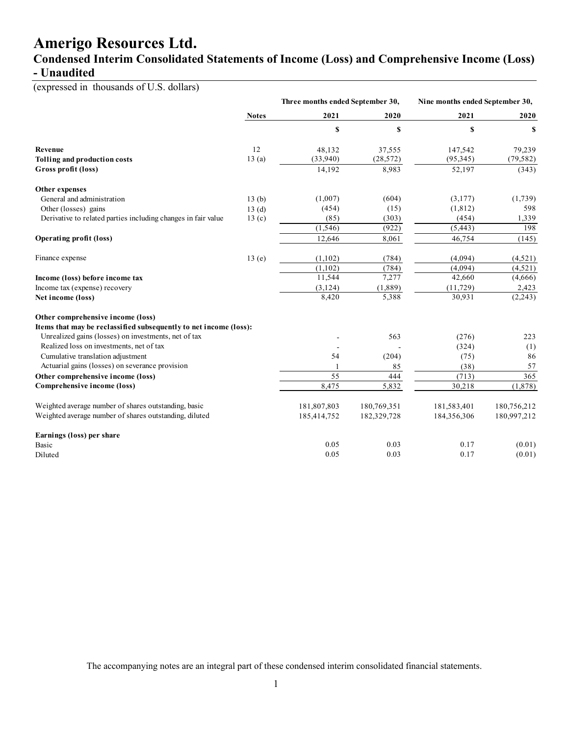### **Condensed Interim Consolidated Statements of Income (Loss) and Comprehensive Income (Loss) - Unaudited**

(expressed in thousands of U.S. dollars)

|                                                                   |              | Three months ended September 30, |             | Nine months ended September 30, |             |
|-------------------------------------------------------------------|--------------|----------------------------------|-------------|---------------------------------|-------------|
|                                                                   | <b>Notes</b> | 2021                             | 2020        | 2021                            | 2020        |
|                                                                   |              | \$                               | \$          | \$                              | \$          |
| Revenue                                                           | 12           | 48,132                           | 37,555      | 147,542                         | 79,239      |
| Tolling and production costs                                      | 13(a)        | (33,940)                         | (28, 572)   | (95, 345)                       | (79, 582)   |
| Gross profit (loss)                                               |              | 14,192                           | 8,983       | 52,197                          | (343)       |
| Other expenses                                                    |              |                                  |             |                                 |             |
| General and administration                                        | 13(b)        | (1,007)                          | (604)       | (3,177)                         | (1,739)     |
| Other (losses) gains                                              | 13(d)        | (454)                            | (15)        | (1, 812)                        | 598         |
| Derivative to related parties including changes in fair value     | 13(c)        | (85)                             | (303)       | (454)                           | 1,339       |
|                                                                   |              | (1, 546)                         | (922)       | (5, 443)                        | 198         |
| <b>Operating profit (loss)</b>                                    |              | 12,646                           | 8,061       | 46,754                          | (145)       |
| Finance expense                                                   | 13(e)        | (1,102)                          | (784)       | (4,094)                         | (4,521)     |
|                                                                   |              | (1,102)                          | (784)       | (4,094)                         | (4,521)     |
| Income (loss) before income tax                                   |              | 11,544                           | 7,277       | 42,660                          | (4,666)     |
| Income tax (expense) recovery                                     |              | (3, 124)                         | (1,889)     | (11, 729)                       | 2,423       |
| Net income (loss)                                                 |              | 8,420                            | 5,388       | 30,931                          | (2,243)     |
| Other comprehensive income (loss)                                 |              |                                  |             |                                 |             |
| Items that may be reclassified subsequently to net income (loss): |              |                                  |             |                                 |             |
| Unrealized gains (losses) on investments, net of tax              |              |                                  | 563         | (276)                           | 223         |
| Realized loss on investments, net of tax                          |              |                                  |             | (324)                           | (1)         |
| Cumulative translation adjustment                                 |              | 54                               | (204)       | (75)                            | 86          |
| Actuarial gains (losses) on severance provision                   |              |                                  | 85          | (38)                            | 57          |
| Other comprehensive income (loss)                                 |              | 55                               | 444         | (713)                           | 365         |
| Comprehensive income (loss)                                       |              | 8,475                            | 5,832       | 30,218                          | (1,878)     |
| Weighted average number of shares outstanding, basic              |              | 181,807,803                      | 180,769,351 | 181,583,401                     | 180,756,212 |
| Weighted average number of shares outstanding, diluted            |              | 185,414,752                      | 182,329,728 | 184,356,306                     | 180,997,212 |
| Earnings (loss) per share                                         |              |                                  |             |                                 |             |
| Basic                                                             |              | 0.05                             | 0.03        | 0.17                            | (0.01)      |
| Diluted                                                           |              | 0.05                             | 0.03        | 0.17                            | (0.01)      |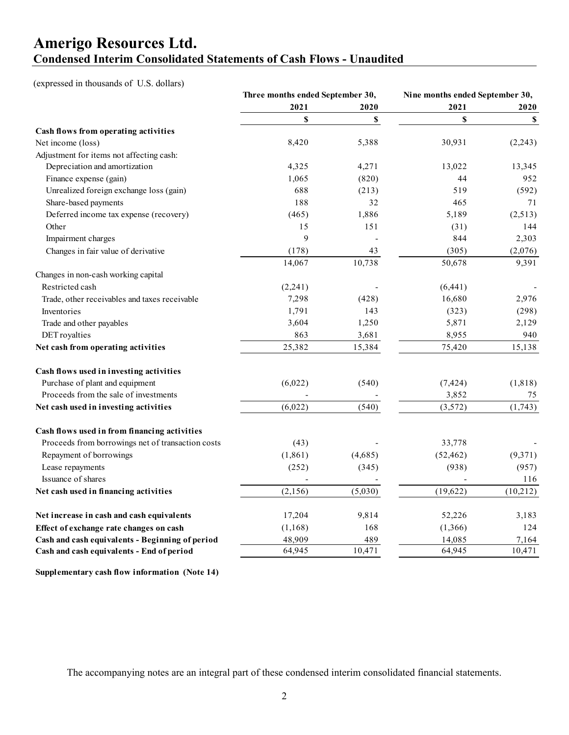### **Amerigo Resources Ltd. Condensed Interim Consolidated Statements of Cash Flows - Unaudited**

(expressed in thousands of U.S. dollars)

| 2021<br>2021<br>2020<br>2020<br>\$<br>\$<br>$\mathbb S$<br>\$<br>Cash flows from operating activities<br>Net income (loss)<br>8,420<br>5,388<br>30,931<br>(2,243)<br>Adjustment for items not affecting cash:<br>Depreciation and amortization<br>4,325<br>13,022<br>4,271<br>13,345<br>Finance expense (gain)<br>1,065<br>(820)<br>44<br>952<br>Unrealized foreign exchange loss (gain)<br>688<br>(213)<br>519<br>(592)<br>188<br>32<br>Share-based payments<br>465<br>71<br>Deferred income tax expense (recovery)<br>(465)<br>1,886<br>(2,513)<br>5,189<br>15<br>Other<br>151<br>144<br>(31)<br>9<br>Impairment charges<br>844<br>2,303<br>Changes in fair value of derivative<br>(2,076)<br>(178)<br>43<br>(305)<br>10,738<br>9,391<br>14,067<br>50,678<br>Changes in non-cash working capital<br>Restricted cash<br>(2,241)<br>(6,441)<br>16,680<br>2,976<br>7,298<br>(428)<br>Trade, other receivables and taxes receivable<br>1,791<br>143<br>(323)<br>(298)<br>Inventories<br>3,604<br>1,250<br>5,871<br>2,129<br>Trade and other payables<br>863<br>8,955<br>DET royalties<br>3,681<br>940<br>Net cash from operating activities<br>25,382<br>15,384<br>75,420<br>15,138<br>Cash flows used in investing activities<br>(6,022)<br>Purchase of plant and equipment<br>(7, 424)<br>(1, 818)<br>(540)<br>Proceeds from the sale of investments<br>3,852<br>75<br>(6,022)<br>(3,572)<br>Net cash used in investing activities<br>(540)<br>(1,743)<br>Cash flows used in from financing activities<br>Proceeds from borrowings net of transaction costs<br>33,778<br>(43)<br>Repayment of borrowings<br>(1, 861)<br>(4,685)<br>(9,371)<br>(52, 462)<br>(252)<br>Lease repayments<br>(938)<br>(957)<br>(345)<br>Issuance of shares<br>116<br>(2, 156)<br>(19,622)<br>(5,030)<br>(10,212)<br>Net cash used in financing activities<br>17,204<br>9,814<br>52,226<br>3,183<br>Net increase in cash and cash equivalents<br>(1,366)<br>124<br>(1, 168)<br>168<br>Effect of exchange rate changes on cash<br>48,909<br>Cash and cash equivalents - Beginning of period<br>489<br>14,085<br>7,164<br>64,945<br>64,945<br>Cash and cash equivalents - End of period<br>10,471<br>10,471 | Three months ended September 30, |  | Nine months ended September 30, |  |
|-------------------------------------------------------------------------------------------------------------------------------------------------------------------------------------------------------------------------------------------------------------------------------------------------------------------------------------------------------------------------------------------------------------------------------------------------------------------------------------------------------------------------------------------------------------------------------------------------------------------------------------------------------------------------------------------------------------------------------------------------------------------------------------------------------------------------------------------------------------------------------------------------------------------------------------------------------------------------------------------------------------------------------------------------------------------------------------------------------------------------------------------------------------------------------------------------------------------------------------------------------------------------------------------------------------------------------------------------------------------------------------------------------------------------------------------------------------------------------------------------------------------------------------------------------------------------------------------------------------------------------------------------------------------------------------------------------------------------------------------------------------------------------------------------------------------------------------------------------------------------------------------------------------------------------------------------------------------------------------------------------------------------------------------------------------------------------------------------------------------------------------------------------------------------------------|----------------------------------|--|---------------------------------|--|
|                                                                                                                                                                                                                                                                                                                                                                                                                                                                                                                                                                                                                                                                                                                                                                                                                                                                                                                                                                                                                                                                                                                                                                                                                                                                                                                                                                                                                                                                                                                                                                                                                                                                                                                                                                                                                                                                                                                                                                                                                                                                                                                                                                                     |                                  |  |                                 |  |
|                                                                                                                                                                                                                                                                                                                                                                                                                                                                                                                                                                                                                                                                                                                                                                                                                                                                                                                                                                                                                                                                                                                                                                                                                                                                                                                                                                                                                                                                                                                                                                                                                                                                                                                                                                                                                                                                                                                                                                                                                                                                                                                                                                                     |                                  |  |                                 |  |
|                                                                                                                                                                                                                                                                                                                                                                                                                                                                                                                                                                                                                                                                                                                                                                                                                                                                                                                                                                                                                                                                                                                                                                                                                                                                                                                                                                                                                                                                                                                                                                                                                                                                                                                                                                                                                                                                                                                                                                                                                                                                                                                                                                                     |                                  |  |                                 |  |
|                                                                                                                                                                                                                                                                                                                                                                                                                                                                                                                                                                                                                                                                                                                                                                                                                                                                                                                                                                                                                                                                                                                                                                                                                                                                                                                                                                                                                                                                                                                                                                                                                                                                                                                                                                                                                                                                                                                                                                                                                                                                                                                                                                                     |                                  |  |                                 |  |
|                                                                                                                                                                                                                                                                                                                                                                                                                                                                                                                                                                                                                                                                                                                                                                                                                                                                                                                                                                                                                                                                                                                                                                                                                                                                                                                                                                                                                                                                                                                                                                                                                                                                                                                                                                                                                                                                                                                                                                                                                                                                                                                                                                                     |                                  |  |                                 |  |
|                                                                                                                                                                                                                                                                                                                                                                                                                                                                                                                                                                                                                                                                                                                                                                                                                                                                                                                                                                                                                                                                                                                                                                                                                                                                                                                                                                                                                                                                                                                                                                                                                                                                                                                                                                                                                                                                                                                                                                                                                                                                                                                                                                                     |                                  |  |                                 |  |
|                                                                                                                                                                                                                                                                                                                                                                                                                                                                                                                                                                                                                                                                                                                                                                                                                                                                                                                                                                                                                                                                                                                                                                                                                                                                                                                                                                                                                                                                                                                                                                                                                                                                                                                                                                                                                                                                                                                                                                                                                                                                                                                                                                                     |                                  |  |                                 |  |
|                                                                                                                                                                                                                                                                                                                                                                                                                                                                                                                                                                                                                                                                                                                                                                                                                                                                                                                                                                                                                                                                                                                                                                                                                                                                                                                                                                                                                                                                                                                                                                                                                                                                                                                                                                                                                                                                                                                                                                                                                                                                                                                                                                                     |                                  |  |                                 |  |
|                                                                                                                                                                                                                                                                                                                                                                                                                                                                                                                                                                                                                                                                                                                                                                                                                                                                                                                                                                                                                                                                                                                                                                                                                                                                                                                                                                                                                                                                                                                                                                                                                                                                                                                                                                                                                                                                                                                                                                                                                                                                                                                                                                                     |                                  |  |                                 |  |
|                                                                                                                                                                                                                                                                                                                                                                                                                                                                                                                                                                                                                                                                                                                                                                                                                                                                                                                                                                                                                                                                                                                                                                                                                                                                                                                                                                                                                                                                                                                                                                                                                                                                                                                                                                                                                                                                                                                                                                                                                                                                                                                                                                                     |                                  |  |                                 |  |
|                                                                                                                                                                                                                                                                                                                                                                                                                                                                                                                                                                                                                                                                                                                                                                                                                                                                                                                                                                                                                                                                                                                                                                                                                                                                                                                                                                                                                                                                                                                                                                                                                                                                                                                                                                                                                                                                                                                                                                                                                                                                                                                                                                                     |                                  |  |                                 |  |
|                                                                                                                                                                                                                                                                                                                                                                                                                                                                                                                                                                                                                                                                                                                                                                                                                                                                                                                                                                                                                                                                                                                                                                                                                                                                                                                                                                                                                                                                                                                                                                                                                                                                                                                                                                                                                                                                                                                                                                                                                                                                                                                                                                                     |                                  |  |                                 |  |
|                                                                                                                                                                                                                                                                                                                                                                                                                                                                                                                                                                                                                                                                                                                                                                                                                                                                                                                                                                                                                                                                                                                                                                                                                                                                                                                                                                                                                                                                                                                                                                                                                                                                                                                                                                                                                                                                                                                                                                                                                                                                                                                                                                                     |                                  |  |                                 |  |
|                                                                                                                                                                                                                                                                                                                                                                                                                                                                                                                                                                                                                                                                                                                                                                                                                                                                                                                                                                                                                                                                                                                                                                                                                                                                                                                                                                                                                                                                                                                                                                                                                                                                                                                                                                                                                                                                                                                                                                                                                                                                                                                                                                                     |                                  |  |                                 |  |
|                                                                                                                                                                                                                                                                                                                                                                                                                                                                                                                                                                                                                                                                                                                                                                                                                                                                                                                                                                                                                                                                                                                                                                                                                                                                                                                                                                                                                                                                                                                                                                                                                                                                                                                                                                                                                                                                                                                                                                                                                                                                                                                                                                                     |                                  |  |                                 |  |
|                                                                                                                                                                                                                                                                                                                                                                                                                                                                                                                                                                                                                                                                                                                                                                                                                                                                                                                                                                                                                                                                                                                                                                                                                                                                                                                                                                                                                                                                                                                                                                                                                                                                                                                                                                                                                                                                                                                                                                                                                                                                                                                                                                                     |                                  |  |                                 |  |
|                                                                                                                                                                                                                                                                                                                                                                                                                                                                                                                                                                                                                                                                                                                                                                                                                                                                                                                                                                                                                                                                                                                                                                                                                                                                                                                                                                                                                                                                                                                                                                                                                                                                                                                                                                                                                                                                                                                                                                                                                                                                                                                                                                                     |                                  |  |                                 |  |
|                                                                                                                                                                                                                                                                                                                                                                                                                                                                                                                                                                                                                                                                                                                                                                                                                                                                                                                                                                                                                                                                                                                                                                                                                                                                                                                                                                                                                                                                                                                                                                                                                                                                                                                                                                                                                                                                                                                                                                                                                                                                                                                                                                                     |                                  |  |                                 |  |
|                                                                                                                                                                                                                                                                                                                                                                                                                                                                                                                                                                                                                                                                                                                                                                                                                                                                                                                                                                                                                                                                                                                                                                                                                                                                                                                                                                                                                                                                                                                                                                                                                                                                                                                                                                                                                                                                                                                                                                                                                                                                                                                                                                                     |                                  |  |                                 |  |
|                                                                                                                                                                                                                                                                                                                                                                                                                                                                                                                                                                                                                                                                                                                                                                                                                                                                                                                                                                                                                                                                                                                                                                                                                                                                                                                                                                                                                                                                                                                                                                                                                                                                                                                                                                                                                                                                                                                                                                                                                                                                                                                                                                                     |                                  |  |                                 |  |
|                                                                                                                                                                                                                                                                                                                                                                                                                                                                                                                                                                                                                                                                                                                                                                                                                                                                                                                                                                                                                                                                                                                                                                                                                                                                                                                                                                                                                                                                                                                                                                                                                                                                                                                                                                                                                                                                                                                                                                                                                                                                                                                                                                                     |                                  |  |                                 |  |
|                                                                                                                                                                                                                                                                                                                                                                                                                                                                                                                                                                                                                                                                                                                                                                                                                                                                                                                                                                                                                                                                                                                                                                                                                                                                                                                                                                                                                                                                                                                                                                                                                                                                                                                                                                                                                                                                                                                                                                                                                                                                                                                                                                                     |                                  |  |                                 |  |
|                                                                                                                                                                                                                                                                                                                                                                                                                                                                                                                                                                                                                                                                                                                                                                                                                                                                                                                                                                                                                                                                                                                                                                                                                                                                                                                                                                                                                                                                                                                                                                                                                                                                                                                                                                                                                                                                                                                                                                                                                                                                                                                                                                                     |                                  |  |                                 |  |
|                                                                                                                                                                                                                                                                                                                                                                                                                                                                                                                                                                                                                                                                                                                                                                                                                                                                                                                                                                                                                                                                                                                                                                                                                                                                                                                                                                                                                                                                                                                                                                                                                                                                                                                                                                                                                                                                                                                                                                                                                                                                                                                                                                                     |                                  |  |                                 |  |
|                                                                                                                                                                                                                                                                                                                                                                                                                                                                                                                                                                                                                                                                                                                                                                                                                                                                                                                                                                                                                                                                                                                                                                                                                                                                                                                                                                                                                                                                                                                                                                                                                                                                                                                                                                                                                                                                                                                                                                                                                                                                                                                                                                                     |                                  |  |                                 |  |
|                                                                                                                                                                                                                                                                                                                                                                                                                                                                                                                                                                                                                                                                                                                                                                                                                                                                                                                                                                                                                                                                                                                                                                                                                                                                                                                                                                                                                                                                                                                                                                                                                                                                                                                                                                                                                                                                                                                                                                                                                                                                                                                                                                                     |                                  |  |                                 |  |
|                                                                                                                                                                                                                                                                                                                                                                                                                                                                                                                                                                                                                                                                                                                                                                                                                                                                                                                                                                                                                                                                                                                                                                                                                                                                                                                                                                                                                                                                                                                                                                                                                                                                                                                                                                                                                                                                                                                                                                                                                                                                                                                                                                                     |                                  |  |                                 |  |
|                                                                                                                                                                                                                                                                                                                                                                                                                                                                                                                                                                                                                                                                                                                                                                                                                                                                                                                                                                                                                                                                                                                                                                                                                                                                                                                                                                                                                                                                                                                                                                                                                                                                                                                                                                                                                                                                                                                                                                                                                                                                                                                                                                                     |                                  |  |                                 |  |
|                                                                                                                                                                                                                                                                                                                                                                                                                                                                                                                                                                                                                                                                                                                                                                                                                                                                                                                                                                                                                                                                                                                                                                                                                                                                                                                                                                                                                                                                                                                                                                                                                                                                                                                                                                                                                                                                                                                                                                                                                                                                                                                                                                                     |                                  |  |                                 |  |
|                                                                                                                                                                                                                                                                                                                                                                                                                                                                                                                                                                                                                                                                                                                                                                                                                                                                                                                                                                                                                                                                                                                                                                                                                                                                                                                                                                                                                                                                                                                                                                                                                                                                                                                                                                                                                                                                                                                                                                                                                                                                                                                                                                                     |                                  |  |                                 |  |
|                                                                                                                                                                                                                                                                                                                                                                                                                                                                                                                                                                                                                                                                                                                                                                                                                                                                                                                                                                                                                                                                                                                                                                                                                                                                                                                                                                                                                                                                                                                                                                                                                                                                                                                                                                                                                                                                                                                                                                                                                                                                                                                                                                                     |                                  |  |                                 |  |
|                                                                                                                                                                                                                                                                                                                                                                                                                                                                                                                                                                                                                                                                                                                                                                                                                                                                                                                                                                                                                                                                                                                                                                                                                                                                                                                                                                                                                                                                                                                                                                                                                                                                                                                                                                                                                                                                                                                                                                                                                                                                                                                                                                                     |                                  |  |                                 |  |
|                                                                                                                                                                                                                                                                                                                                                                                                                                                                                                                                                                                                                                                                                                                                                                                                                                                                                                                                                                                                                                                                                                                                                                                                                                                                                                                                                                                                                                                                                                                                                                                                                                                                                                                                                                                                                                                                                                                                                                                                                                                                                                                                                                                     |                                  |  |                                 |  |
|                                                                                                                                                                                                                                                                                                                                                                                                                                                                                                                                                                                                                                                                                                                                                                                                                                                                                                                                                                                                                                                                                                                                                                                                                                                                                                                                                                                                                                                                                                                                                                                                                                                                                                                                                                                                                                                                                                                                                                                                                                                                                                                                                                                     |                                  |  |                                 |  |
|                                                                                                                                                                                                                                                                                                                                                                                                                                                                                                                                                                                                                                                                                                                                                                                                                                                                                                                                                                                                                                                                                                                                                                                                                                                                                                                                                                                                                                                                                                                                                                                                                                                                                                                                                                                                                                                                                                                                                                                                                                                                                                                                                                                     |                                  |  |                                 |  |

**Supplementary cash flow information (Note 14)**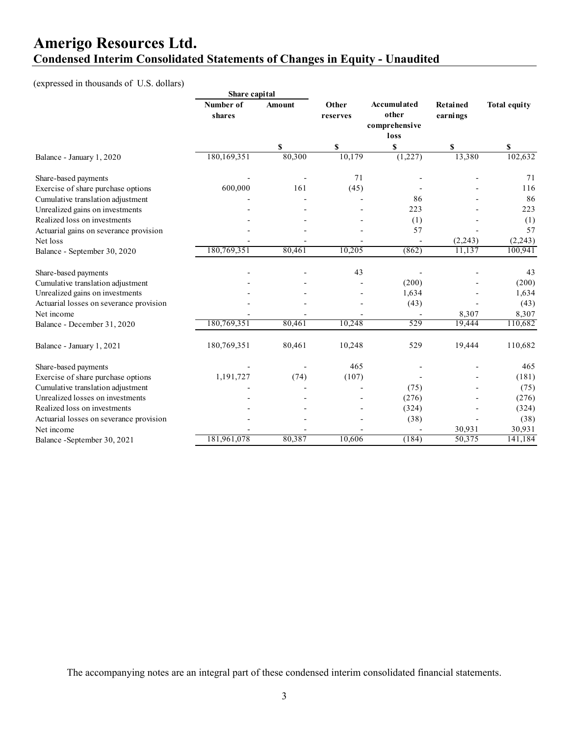### **Amerigo Resources Ltd. Condensed Interim Consolidated Statements of Changes in Equity - Unaudited**

### (expressed in thousands of U.S. dollars)

|                                         | Share capital       |        |                   |                                       |                      |                     |
|-----------------------------------------|---------------------|--------|-------------------|---------------------------------------|----------------------|---------------------|
|                                         | Number of<br>shares | Amount | Other<br>reserves | Accumulated<br>other<br>comprehensive | Retained<br>earnings | <b>Total equity</b> |
|                                         |                     | \$     | \$                | loss<br>\$                            | \$                   | \$                  |
| Balance - January 1, 2020               | 180,169,351         | 80,300 | 10,179            | (1,227)                               | 13,380               | 102,632             |
| Share-based payments                    |                     |        | 71                |                                       |                      | 71                  |
| Exercise of share purchase options      | 600,000             | 161    | (45)              |                                       |                      | 116                 |
| Cumulative translation adjustment       |                     |        |                   | 86                                    |                      | 86                  |
| Unrealized gains on investments         |                     |        |                   | 223                                   |                      | 223                 |
| Realized loss on investments            |                     |        |                   | (1)                                   |                      | (1)                 |
| Actuarial gains on severance provision  |                     |        |                   | 57                                    |                      | 57                  |
| Net loss                                |                     |        |                   |                                       | (2,243)              | (2,243)             |
| Balance - September 30, 2020            | 180,769,351         | 80,461 | 10,205            | (862)                                 | 11,137               | 100,941             |
| Share-based payments                    |                     |        | 43                |                                       |                      | 43                  |
| Cumulative translation adjustment       |                     |        |                   | (200)                                 |                      | (200)               |
| Unrealized gains on investments         |                     |        |                   | 1,634                                 |                      | 1,634               |
| Actuarial losses on severance provision |                     |        |                   | (43)                                  |                      | (43)                |
| Net income                              |                     |        |                   |                                       | 8,307                | 8,307               |
| Balance - December 31, 2020             | 180,769,351         | 80,461 | 10,248            | 529                                   | 19,444               | 110,682             |
| Balance - January 1, 2021               | 180,769,351         | 80,461 | 10,248            | 529                                   | 19,444               | 110,682             |
| Share-based payments                    |                     |        | 465               |                                       |                      | 465                 |
| Exercise of share purchase options      | 1,191,727           | (74)   | (107)             |                                       |                      | (181)               |
| Cumulative translation adjustment       |                     |        |                   | (75)                                  |                      | (75)                |
| Unrealized losses on investments        |                     |        |                   | (276)                                 |                      | (276)               |
| Realized loss on investments            |                     |        |                   | (324)                                 |                      | (324)               |
| Actuarial losses on severance provision |                     |        |                   | (38)                                  |                      | (38)                |
| Net income                              |                     |        |                   |                                       | 30,931               | 30,931              |
| Balance -September 30, 2021             | 181,961,078         | 80,387 | 10,606            | (184)                                 | 50,375               | 141,184             |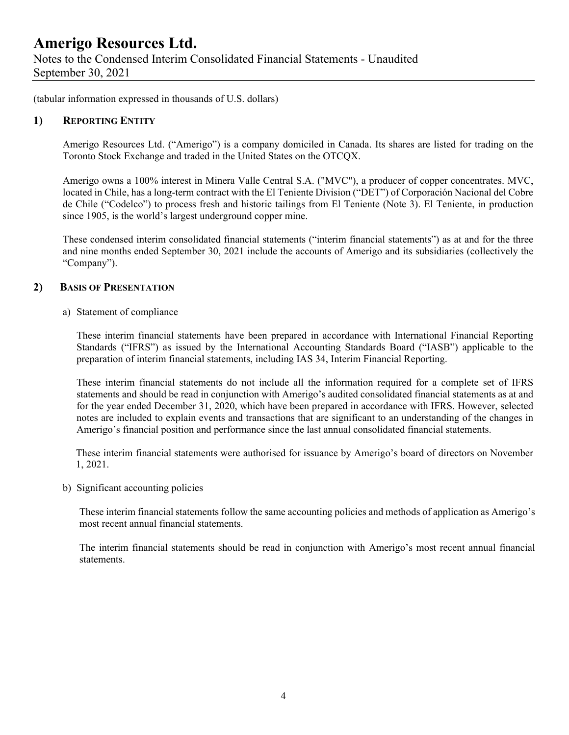Notes to the Condensed Interim Consolidated Financial Statements - Unaudited September 30, 2021

(tabular information expressed in thousands of U.S. dollars)

### **1) REPORTING ENTITY**

Amerigo Resources Ltd. ("Amerigo") is a company domiciled in Canada. Its shares are listed for trading on the Toronto Stock Exchange and traded in the United States on the OTCQX.

Amerigo owns a 100% interest in Minera Valle Central S.A. ("MVC"), a producer of copper concentrates. MVC, located in Chile, has a long-term contract with the El Teniente Division ("DET") of Corporación Nacional del Cobre de Chile ("Codelco") to process fresh and historic tailings from El Teniente (Note 3). El Teniente, in production since 1905, is the world's largest underground copper mine.

These condensed interim consolidated financial statements ("interim financial statements") as at and for the three and nine months ended September 30, 2021 include the accounts of Amerigo and its subsidiaries (collectively the "Company").

### **2) BASIS OF PRESENTATION**

a) Statement of compliance

These interim financial statements have been prepared in accordance with International Financial Reporting Standards ("IFRS") as issued by the International Accounting Standards Board ("IASB") applicable to the preparation of interim financial statements, including IAS 34, Interim Financial Reporting.

These interim financial statements do not include all the information required for a complete set of IFRS statements and should be read in conjunction with Amerigo's audited consolidated financial statements as at and for the year ended December 31, 2020, which have been prepared in accordance with IFRS. However, selected notes are included to explain events and transactions that are significant to an understanding of the changes in Amerigo's financial position and performance since the last annual consolidated financial statements.

 These interim financial statements were authorised for issuance by Amerigo's board of directors on November 1, 2021.

b) Significant accounting policies

These interim financial statements follow the same accounting policies and methods of application as Amerigo's most recent annual financial statements.

The interim financial statements should be read in conjunction with Amerigo's most recent annual financial statements.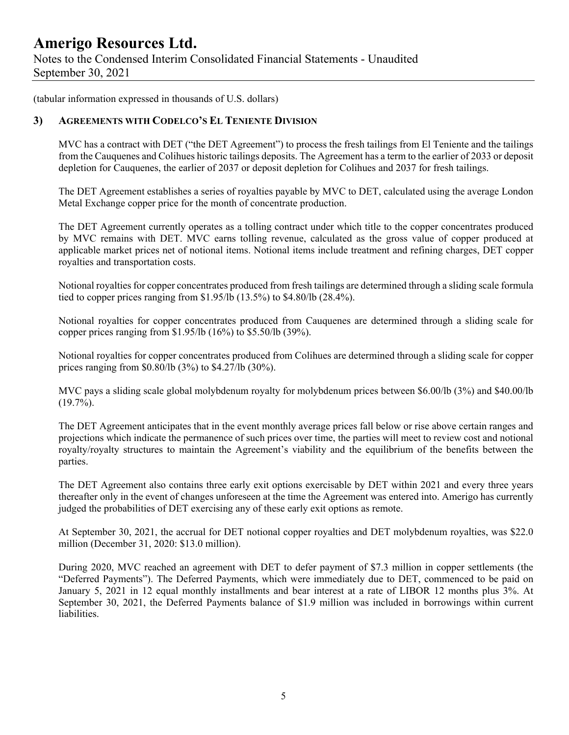Notes to the Condensed Interim Consolidated Financial Statements - Unaudited September 30, 2021

(tabular information expressed in thousands of U.S. dollars)

### **3) AGREEMENTS WITH CODELCO'S EL TENIENTE DIVISION**

MVC has a contract with DET ("the DET Agreement") to process the fresh tailings from El Teniente and the tailings from the Cauquenes and Colihues historic tailings deposits. The Agreement has a term to the earlier of 2033 or deposit depletion for Cauquenes, the earlier of 2037 or deposit depletion for Colihues and 2037 for fresh tailings.

The DET Agreement establishes a series of royalties payable by MVC to DET, calculated using the average London Metal Exchange copper price for the month of concentrate production.

The DET Agreement currently operates as a tolling contract under which title to the copper concentrates produced by MVC remains with DET. MVC earns tolling revenue, calculated as the gross value of copper produced at applicable market prices net of notional items. Notional items include treatment and refining charges, DET copper royalties and transportation costs.

Notional royalties for copper concentrates produced from fresh tailings are determined through a sliding scale formula tied to copper prices ranging from \$1.95/lb (13.5%) to \$4.80/lb (28.4%).

Notional royalties for copper concentrates produced from Cauquenes are determined through a sliding scale for copper prices ranging from \$1.95/lb (16%) to \$5.50/lb (39%).

Notional royalties for copper concentrates produced from Colihues are determined through a sliding scale for copper prices ranging from \$0.80/lb (3%) to \$4.27/lb (30%).

MVC pays a sliding scale global molybdenum royalty for molybdenum prices between \$6.00/lb (3%) and \$40.00/lb  $(19.7\%)$ .

The DET Agreement anticipates that in the event monthly average prices fall below or rise above certain ranges and projections which indicate the permanence of such prices over time, the parties will meet to review cost and notional royalty/royalty structures to maintain the Agreement's viability and the equilibrium of the benefits between the parties.

The DET Agreement also contains three early exit options exercisable by DET within 2021 and every three years thereafter only in the event of changes unforeseen at the time the Agreement was entered into. Amerigo has currently judged the probabilities of DET exercising any of these early exit options as remote.

At September 30, 2021, the accrual for DET notional copper royalties and DET molybdenum royalties, was \$22.0 million (December 31, 2020: \$13.0 million).

During 2020, MVC reached an agreement with DET to defer payment of \$7.3 million in copper settlements (the "Deferred Payments"). The Deferred Payments, which were immediately due to DET, commenced to be paid on January 5, 2021 in 12 equal monthly installments and bear interest at a rate of LIBOR 12 months plus 3%. At September 30, 2021, the Deferred Payments balance of \$1.9 million was included in borrowings within current liabilities.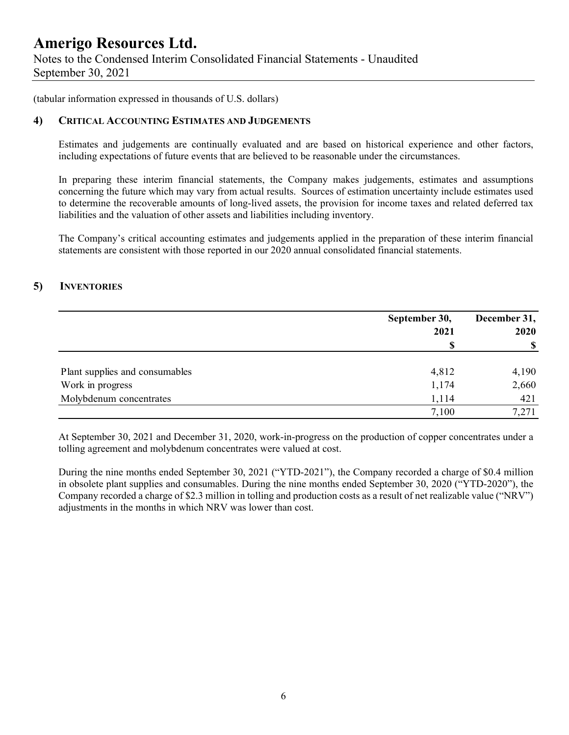Notes to the Condensed Interim Consolidated Financial Statements - Unaudited September 30, 2021

(tabular information expressed in thousands of U.S. dollars)

### **4) CRITICAL ACCOUNTING ESTIMATES AND JUDGEMENTS**

Estimates and judgements are continually evaluated and are based on historical experience and other factors, including expectations of future events that are believed to be reasonable under the circumstances.

In preparing these interim financial statements, the Company makes judgements, estimates and assumptions concerning the future which may vary from actual results. Sources of estimation uncertainty include estimates used to determine the recoverable amounts of long-lived assets, the provision for income taxes and related deferred tax liabilities and the valuation of other assets and liabilities including inventory.

The Company's critical accounting estimates and judgements applied in the preparation of these interim financial statements are consistent with those reported in our 2020 annual consolidated financial statements.

### **5) INVENTORIES**

|                                | September 30, | December 31, |  |
|--------------------------------|---------------|--------------|--|
|                                | 2021          | 2020         |  |
|                                |               | -S           |  |
| Plant supplies and consumables | 4,812         | 4,190        |  |
| Work in progress               | 1,174         | 2,660        |  |
| Molybdenum concentrates        | 1,114         | 421          |  |
|                                | 7,100         | 7,271        |  |

At September 30, 2021 and December 31, 2020, work-in-progress on the production of copper concentrates under a tolling agreement and molybdenum concentrates were valued at cost.

During the nine months ended September 30, 2021 ("YTD-2021"), the Company recorded a charge of \$0.4 million in obsolete plant supplies and consumables. During the nine months ended September 30, 2020 ("YTD-2020"), the Company recorded a charge of \$2.3 million in tolling and production costs as a result of net realizable value ("NRV") adjustments in the months in which NRV was lower than cost.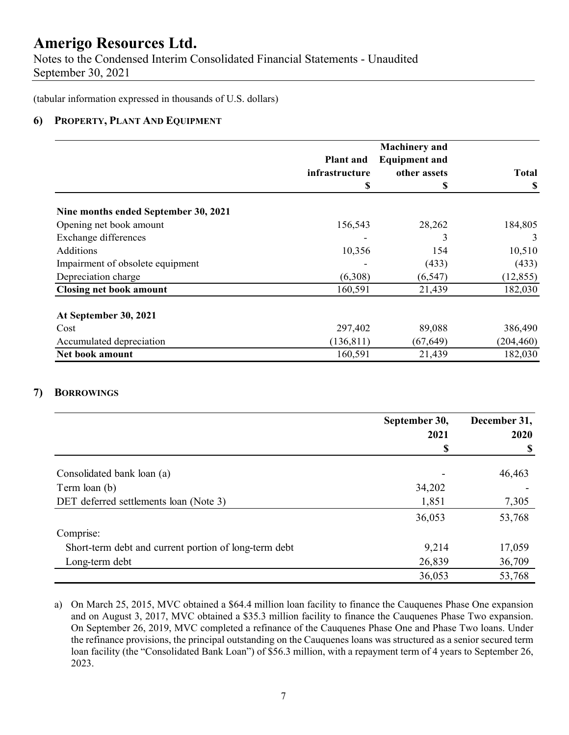Notes to the Condensed Interim Consolidated Financial Statements - Unaudited September 30, 2021

(tabular information expressed in thousands of U.S. dollars)

### **6) PROPERTY, PLANT AND EQUIPMENT**

|                                      |                  | <b>Machinery</b> and |              |
|--------------------------------------|------------------|----------------------|--------------|
|                                      | <b>Plant and</b> | <b>Equipment and</b> |              |
|                                      | infrastructure   | other assets         | <b>Total</b> |
|                                      | \$               | \$                   | <b>S</b>     |
| Nine months ended September 30, 2021 |                  |                      |              |
| Opening net book amount              | 156,543          | 28,262               | 184,805      |
| Exchange differences                 |                  | 3                    | 3            |
| <b>Additions</b>                     | 10,356           | 154                  | 10,510       |
| Impairment of obsolete equipment     |                  | (433)                | (433)        |
| Depreciation charge                  | (6,308)          | (6, 547)             | (12, 855)    |
| <b>Closing net book amount</b>       | 160,591          | 21,439               | 182,030      |
| At September 30, 2021                |                  |                      |              |
| Cost                                 | 297,402          | 89,088               | 386,490      |
| Accumulated depreciation             | (136, 811)       | (67, 649)            | (204, 460)   |
| Net book amount                      | 160,591          | 21,439               | 182,030      |

### **7) BORROWINGS**

|                                                       | September 30, | December 31, |  |
|-------------------------------------------------------|---------------|--------------|--|
|                                                       | 2021          | 2020         |  |
|                                                       | \$            |              |  |
| Consolidated bank loan (a)                            |               | 46,463       |  |
| Term loan (b)                                         | 34,202        |              |  |
| DET deferred settlements loan (Note 3)                | 1,851         | 7,305        |  |
|                                                       | 36,053        | 53,768       |  |
| Comprise:                                             |               |              |  |
| Short-term debt and current portion of long-term debt | 9,214         | 17,059       |  |
| Long-term debt                                        | 26,839        | 36,709       |  |
|                                                       | 36,053        | 53,768       |  |

a) On March 25, 2015, MVC obtained a \$64.4 million loan facility to finance the Cauquenes Phase One expansion and on August 3, 2017, MVC obtained a \$35.3 million facility to finance the Cauquenes Phase Two expansion. On September 26, 2019, MVC completed a refinance of the Cauquenes Phase One and Phase Two loans. Under the refinance provisions, the principal outstanding on the Cauquenes loans was structured as a senior secured term loan facility (the "Consolidated Bank Loan") of \$56.3 million, with a repayment term of 4 years to September 26, 2023.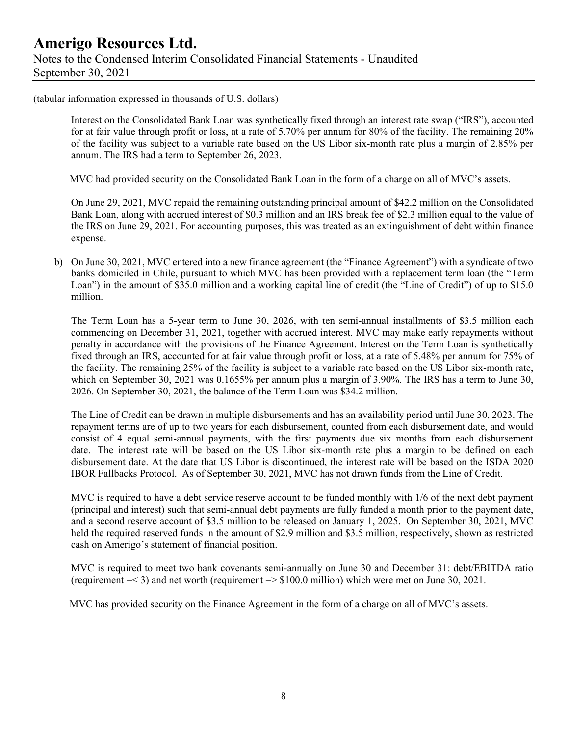(tabular information expressed in thousands of U.S. dollars)

Interest on the Consolidated Bank Loan was synthetically fixed through an interest rate swap ("IRS"), accounted for at fair value through profit or loss, at a rate of 5.70% per annum for 80% of the facility. The remaining 20% of the facility was subject to a variable rate based on the US Libor six-month rate plus a margin of 2.85% per annum. The IRS had a term to September 26, 2023.

MVC had provided security on the Consolidated Bank Loan in the form of a charge on all of MVC's assets.

On June 29, 2021, MVC repaid the remaining outstanding principal amount of \$42.2 million on the Consolidated Bank Loan, along with accrued interest of \$0.3 million and an IRS break fee of \$2.3 million equal to the value of the IRS on June 29, 2021. For accounting purposes, this was treated as an extinguishment of debt within finance expense.

b) On June 30, 2021, MVC entered into a new finance agreement (the "Finance Agreement") with a syndicate of two banks domiciled in Chile, pursuant to which MVC has been provided with a replacement term loan (the "Term Loan") in the amount of \$35.0 million and a working capital line of credit (the "Line of Credit") of up to \$15.0 million.

The Term Loan has a 5-year term to June 30, 2026, with ten semi-annual installments of \$3.5 million each commencing on December 31, 2021, together with accrued interest. MVC may make early repayments without penalty in accordance with the provisions of the Finance Agreement. Interest on the Term Loan is synthetically fixed through an IRS, accounted for at fair value through profit or loss, at a rate of 5.48% per annum for 75% of the facility. The remaining 25% of the facility is subject to a variable rate based on the US Libor six-month rate, which on September 30, 2021 was 0.1655% per annum plus a margin of 3.90%. The IRS has a term to June 30, 2026. On September 30, 2021, the balance of the Term Loan was \$34.2 million.

The Line of Credit can be drawn in multiple disbursements and has an availability period until June 30, 2023. The repayment terms are of up to two years for each disbursement, counted from each disbursement date, and would consist of 4 equal semi-annual payments, with the first payments due six months from each disbursement date. The interest rate will be based on the US Libor six-month rate plus a margin to be defined on each disbursement date. At the date that US Libor is discontinued, the interest rate will be based on the ISDA 2020 IBOR Fallbacks Protocol. As of September 30, 2021, MVC has not drawn funds from the Line of Credit.

MVC is required to have a debt service reserve account to be funded monthly with  $1/6$  of the next debt payment (principal and interest) such that semi-annual debt payments are fully funded a month prior to the payment date, and a second reserve account of \$3.5 million to be released on January 1, 2025. On September 30, 2021, MVC held the required reserved funds in the amount of \$2.9 million and \$3.5 million, respectively, shown as restricted cash on Amerigo's statement of financial position.

MVC is required to meet two bank covenants semi-annually on June 30 and December 31: debt/EBITDA ratio (requirement =< 3) and net worth (requirement => \$100.0 million) which were met on June 30, 2021.

MVC has provided security on the Finance Agreement in the form of a charge on all of MVC's assets.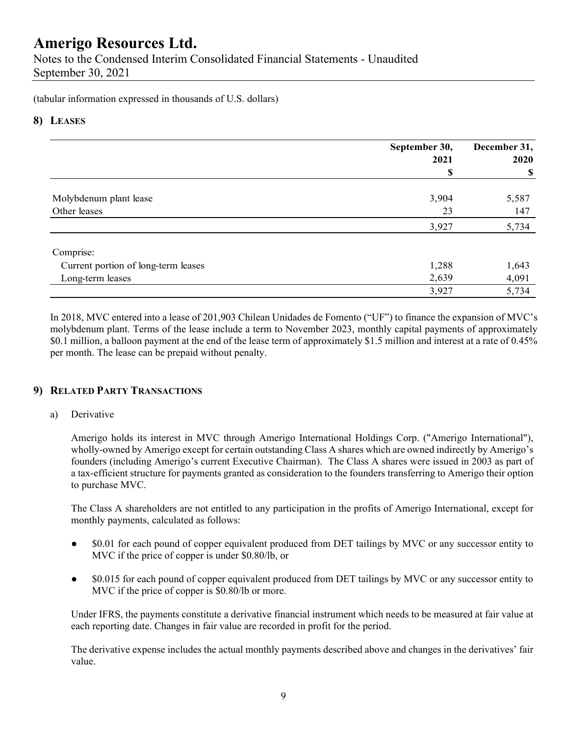Notes to the Condensed Interim Consolidated Financial Statements - Unaudited September 30, 2021

(tabular information expressed in thousands of U.S. dollars)

### **8) LEASES**

|                                     | September 30,<br>2021 | December 31,<br>2020 |  |
|-------------------------------------|-----------------------|----------------------|--|
|                                     | \$                    | \$                   |  |
| Molybdenum plant lease              | 3,904                 | 5,587                |  |
| Other leases                        | 23                    | 147                  |  |
|                                     | 3,927                 | 5,734                |  |
| Comprise:                           |                       |                      |  |
| Current portion of long-term leases | 1,288                 | 1,643                |  |
| Long-term leases                    | 2,639                 | 4,091                |  |
|                                     | 3,927                 | 5,734                |  |

In 2018, MVC entered into a lease of 201,903 Chilean Unidades de Fomento ("UF") to finance the expansion of MVC's molybdenum plant. Terms of the lease include a term to November 2023, monthly capital payments of approximately \$0.1 million, a balloon payment at the end of the lease term of approximately \$1.5 million and interest at a rate of 0.45% per month. The lease can be prepaid without penalty.

### **9) RELATED PARTY TRANSACTIONS**

#### a) Derivative

Amerigo holds its interest in MVC through Amerigo International Holdings Corp. ("Amerigo International"), wholly-owned by Amerigo except for certain outstanding Class A shares which are owned indirectly by Amerigo's founders (including Amerigo's current Executive Chairman). The Class A shares were issued in 2003 as part of a tax-efficient structure for payments granted as consideration to the founders transferring to Amerigo their option to purchase MVC.

The Class A shareholders are not entitled to any participation in the profits of Amerigo International, except for monthly payments, calculated as follows:

- \$0.01 for each pound of copper equivalent produced from DET tailings by MVC or any successor entity to MVC if the price of copper is under \$0.80/lb, or
- \$0.015 for each pound of copper equivalent produced from DET tailings by MVC or any successor entity to MVC if the price of copper is \$0.80/lb or more.

Under IFRS, the payments constitute a derivative financial instrument which needs to be measured at fair value at each reporting date. Changes in fair value are recorded in profit for the period.

The derivative expense includes the actual monthly payments described above and changes in the derivatives' fair value.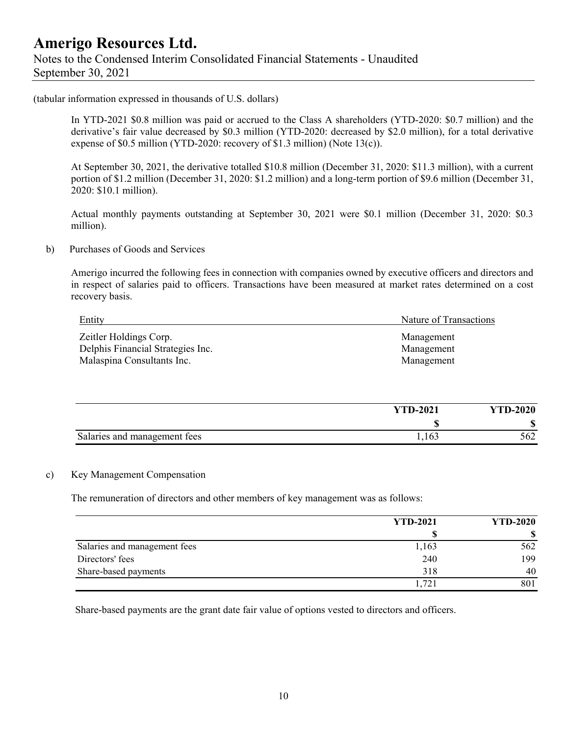### **Amerigo Resources Ltd.**  Notes to the Condensed Interim Consolidated Financial Statements - Unaudited September 30, 2021

(tabular information expressed in thousands of U.S. dollars)

In YTD-2021 \$0.8 million was paid or accrued to the Class A shareholders (YTD-2020: \$0.7 million) and the derivative's fair value decreased by \$0.3 million (YTD-2020: decreased by \$2.0 million), for a total derivative expense of \$0.5 million (YTD-2020: recovery of \$1.3 million) (Note 13(c)).

At September 30, 2021, the derivative totalled \$10.8 million (December 31, 2020: \$11.3 million), with a current portion of \$1.2 million (December 31, 2020: \$1.2 million) and a long-term portion of \$9.6 million (December 31, 2020: \$10.1 million).

Actual monthly payments outstanding at September 30, 2021 were \$0.1 million (December 31, 2020: \$0.3 million).

#### b) Purchases of Goods and Services

Amerigo incurred the following fees in connection with companies owned by executive officers and directors and in respect of salaries paid to officers. Transactions have been measured at market rates determined on a cost recovery basis.

| Entity                            | Nature of Transactions |
|-----------------------------------|------------------------|
| Zeitler Holdings Corp.            | Management             |
| Delphis Financial Strategies Inc. | Management             |
| Malaspina Consultants Inc.        | Management             |

|                              | <b>YTD-2021</b> | <b>YTD-2020</b>  |
|------------------------------|-----------------|------------------|
|                              | ۱D              | $\sqrt{2}$<br>۱D |
| Salaries and management fees | 1,163           | 562              |

#### c) Key Management Compensation

The remuneration of directors and other members of key management was as follows:

|                              | <b>YTD-2021</b> | <b>YTD-2020</b> |
|------------------------------|-----------------|-----------------|
|                              |                 |                 |
| Salaries and management fees | 1,163           | 562             |
| Directors' fees              | 240             | 199             |
| Share-based payments         | 318             | 40              |
|                              | 1,721           | 801             |

Share-based payments are the grant date fair value of options vested to directors and officers.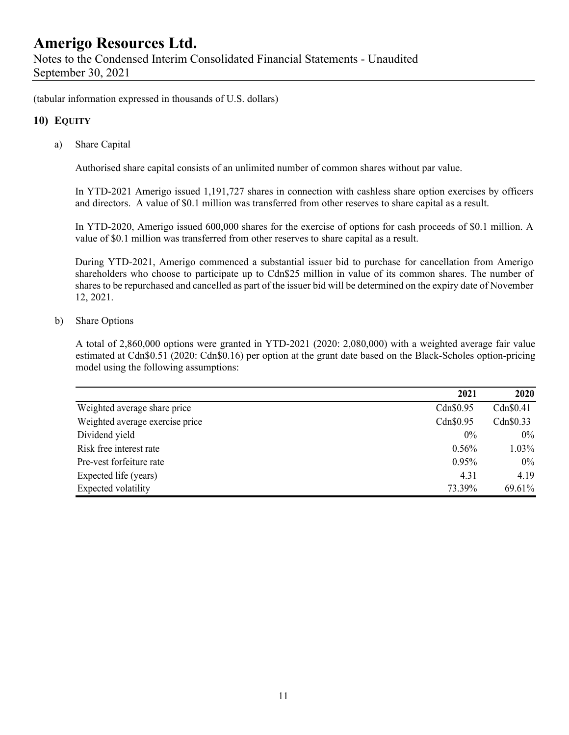(tabular information expressed in thousands of U.S. dollars)

### **10) EQUITY**

a) Share Capital

Authorised share capital consists of an unlimited number of common shares without par value.

In YTD-2021 Amerigo issued 1,191,727 shares in connection with cashless share option exercises by officers and directors. A value of \$0.1 million was transferred from other reserves to share capital as a result.

In YTD-2020, Amerigo issued 600,000 shares for the exercise of options for cash proceeds of \$0.1 million. A value of \$0.1 million was transferred from other reserves to share capital as a result.

During YTD-2021, Amerigo commenced a substantial issuer bid to purchase for cancellation from Amerigo shareholders who choose to participate up to Cdn\$25 million in value of its common shares. The number of shares to be repurchased and cancelled as part of the issuer bid will be determined on the expiry date of November 12, 2021.

#### b) Share Options

A total of 2,860,000 options were granted in YTD-2021 (2020: 2,080,000) with a weighted average fair value estimated at Cdn\$0.51 (2020: Cdn\$0.16) per option at the grant date based on the Black-Scholes option-pricing model using the following assumptions:

|                                 | 2021      | 2020      |
|---------------------------------|-----------|-----------|
| Weighted average share price    | Cdn\$0.95 | Cdn\$0.41 |
| Weighted average exercise price | Cdn\$0.95 | Cdn\$0.33 |
| Dividend yield                  | $0\%$     | $0\%$     |
| Risk free interest rate         | $0.56\%$  | $1.03\%$  |
| Pre-vest forfeiture rate        | $0.95\%$  | $0\%$     |
| Expected life (years)           | 4.31      | 4.19      |
| Expected volatility             | 73.39%    | 69.61%    |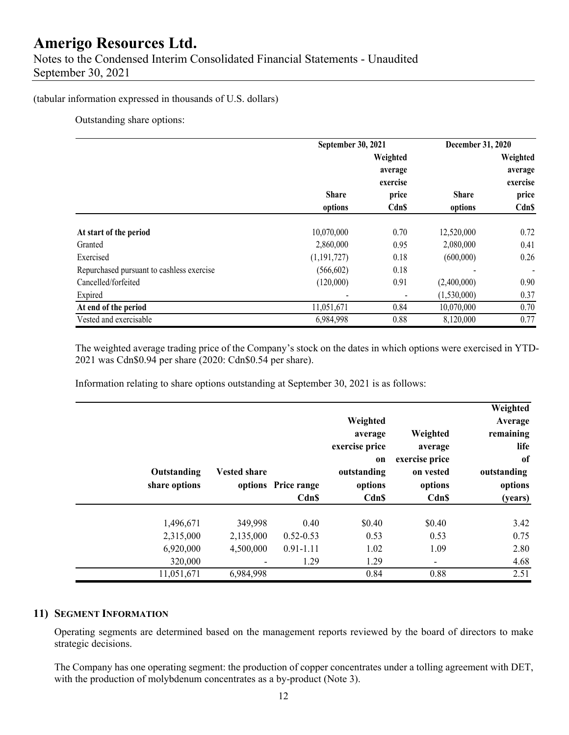#### (tabular information expressed in thousands of U.S. dollars)

Outstanding share options:

|                                           | September 30, 2021 |                     | December 31, 2020 |                          |
|-------------------------------------------|--------------------|---------------------|-------------------|--------------------------|
|                                           |                    | Weighted<br>average |                   | Weighted<br>average      |
|                                           |                    | exercise            |                   | exercise                 |
|                                           | <b>Share</b>       | price               | <b>Share</b>      | price                    |
|                                           | options            | <b>Cdn\$</b>        | options           | <b>Cdn\$</b>             |
| At start of the period                    | 10,070,000         | 0.70                | 12,520,000        | 0.72                     |
| Granted                                   | 2,860,000          | 0.95                | 2,080,000         | 0.41                     |
| Exercised                                 | (1, 191, 727)      | 0.18                | (600,000)         | 0.26                     |
| Repurchased pursuant to cashless exercise | (566, 602)         | 0.18                |                   | $\overline{\phantom{a}}$ |
| Cancelled/forfeited                       | (120,000)          | 0.91                | (2,400,000)       | 0.90                     |
| Expired                                   |                    |                     | (1,530,000)       | 0.37                     |
| At end of the period                      | 11,051,671         | 0.84                | 10,070,000        | 0.70                     |
| Vested and exercisable                    | 6,984,998          | 0.88                | 8,120,000         | 0.77                     |

The weighted average trading price of the Company's stock on the dates in which options were exercised in YTD-2021 was Cdn\$0.94 per share (2020: Cdn\$0.54 per share).

Information relating to share options outstanding at September 30, 2021 is as follows:

| Weighted<br>Average<br>remaining<br>life<br>of<br>outstanding<br>options<br>(years) | Weighted<br>average<br>exercise price<br>on vested<br>options<br>Cdn\$ | Weighted<br>average<br>exercise price<br>on<br>outstanding<br>options<br>Cdn\$ | options Price range<br><b>Cdn\$</b> | <b>Vested share</b> | Outstanding<br>share options |  |
|-------------------------------------------------------------------------------------|------------------------------------------------------------------------|--------------------------------------------------------------------------------|-------------------------------------|---------------------|------------------------------|--|
| 3.42                                                                                | \$0.40                                                                 | \$0.40                                                                         | 0.40                                | 349,998             | 1,496,671                    |  |
| 0.75                                                                                | 0.53                                                                   | 0.53                                                                           | $0.52 - 0.53$                       | 2,135,000           | 2,315,000                    |  |
| 2.80                                                                                | 1.09                                                                   | 1.02                                                                           | $0.91 - 1.11$                       | 4,500,000           | 6,920,000                    |  |
| 4.68                                                                                | ۰                                                                      | 1.29                                                                           | 1.29                                |                     | 320,000                      |  |
| 2.51                                                                                | 0.88                                                                   | 0.84                                                                           |                                     | 6,984,998           | 11,051,671                   |  |

#### **11) SEGMENT INFORMATION**

Operating segments are determined based on the management reports reviewed by the board of directors to make strategic decisions.

The Company has one operating segment: the production of copper concentrates under a tolling agreement with DET, with the production of molybdenum concentrates as a by-product (Note 3).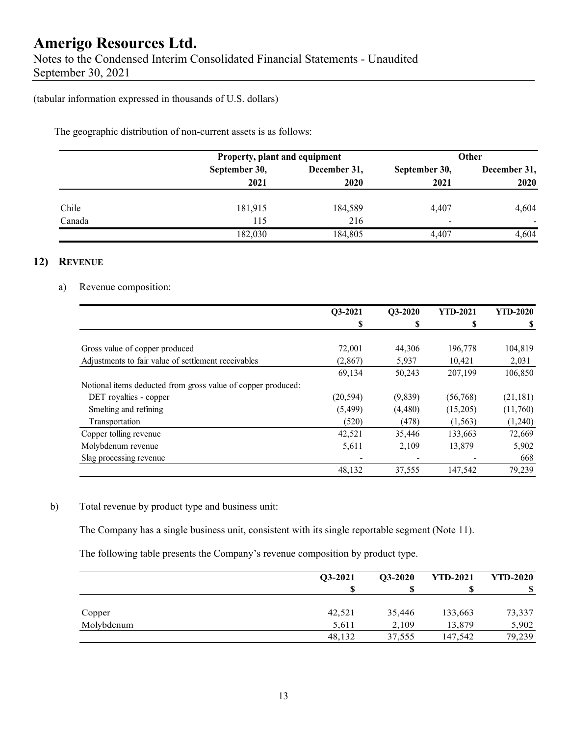(tabular information expressed in thousands of U.S. dollars)

The geographic distribution of non-current assets is as follows:

|        | Property, plant and equipment |              |                          | Other        |
|--------|-------------------------------|--------------|--------------------------|--------------|
|        | September 30,                 | December 31, | September 30,            | December 31, |
|        | 2021                          | 2020         | 2021                     |              |
| Chile  | 181,915                       | 184,589      | 4,407                    | 4,604        |
| Canada | 115                           | 216          | $\overline{\phantom{0}}$ | ۰            |
|        | 182,030                       | 184,805      | 4.407                    | 4,604        |

### **12) REVENUE**

#### a) Revenue composition:

|                                                              | Q3-2021   | Q3-2020 | <b>YTD-2021</b> | <b>YTD-2020</b> |
|--------------------------------------------------------------|-----------|---------|-----------------|-----------------|
|                                                              | S         | S       | \$              |                 |
|                                                              |           |         |                 |                 |
| Gross value of copper produced                               | 72,001    | 44,306  | 196,778         | 104,819         |
| Adjustments to fair value of settlement receivables          | (2,867)   | 5,937   | 10,421          | 2,031           |
|                                                              | 69,134    | 50,243  | 207,199         | 106,850         |
| Notional items deducted from gross value of copper produced: |           |         |                 |                 |
| DET royalties - copper                                       | (20, 594) | (9,839) | (56,768)        | (21, 181)       |
| Smelting and refining                                        | (5, 499)  | (4,480) | (15,205)        | (11,760)        |
| Transportation                                               | (520)     | (478)   | (1, 563)        | (1,240)         |
| Copper tolling revenue                                       | 42,521    | 35,446  | 133,663         | 72,669          |
| Molybdenum revenue                                           | 5,611     | 2,109   | 13,879          | 5,902           |
| Slag processing revenue                                      |           |         |                 | 668             |
|                                                              | 48,132    | 37,555  | 147,542         | 79,239          |

### b) Total revenue by product type and business unit:

The Company has a single business unit, consistent with its single reportable segment (Note 11).

The following table presents the Company's revenue composition by product type.

|            | O3-2021 | $Q3-2020$ | <b>YTD-2021</b> | <b>YTD-2020</b> |
|------------|---------|-----------|-----------------|-----------------|
|            |         | ъ         |                 |                 |
| Copper     | 42,521  | 35,446    | 133,663         | 73,337          |
| Molybdenum | 5,611   | 2,109     | 13,879          | 5,902           |
|            | 48,132  | 37,555    | 147,542         | 79,239          |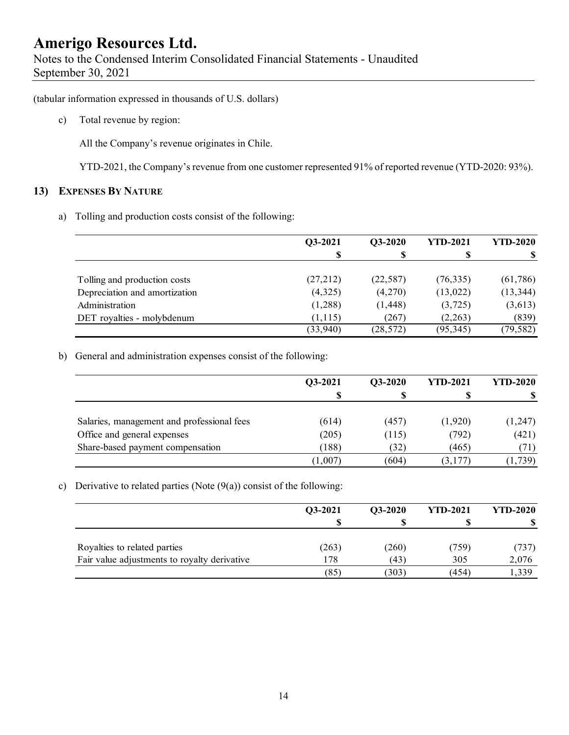Notes to the Condensed Interim Consolidated Financial Statements - Unaudited September 30, 2021

(tabular information expressed in thousands of U.S. dollars)

c) Total revenue by region:

All the Company's revenue originates in Chile.

YTD-2021, the Company's revenue from one customer represented 91% of reported revenue (YTD-2020: 93%).

#### **13) EXPENSES BY NATURE**

a) Tolling and production costs consist of the following:

|                               | Q3-2021  | Q3-2020   | <b>YTD-2021</b> | <b>YTD-2020</b> |
|-------------------------------|----------|-----------|-----------------|-----------------|
|                               | S        |           |                 |                 |
|                               |          |           |                 |                 |
| Tolling and production costs  | (27,212) | (22, 587) | (76, 335)       | (61,786)        |
| Depreciation and amortization | (4,325)  | (4,270)   | (13, 022)       | (13, 344)       |
| Administration                | (1,288)  | (1, 448)  | (3,725)         | (3,613)         |
| DET royalties - molybdenum    | (1, 115) | (267)     | (2,263)         | (839)           |
|                               | (33,940) | (28, 572) | (95, 345)       | (79, 582)       |

b) General and administration expenses consist of the following:

|                                            | Q3-2021 | Q3-2020 | <b>YTD-2021</b> | <b>YTD-2020</b> |
|--------------------------------------------|---------|---------|-----------------|-----------------|
|                                            | S       |         |                 |                 |
| Salaries, management and professional fees | (614)   | (457)   | (1,920)         | (1,247)         |
| Office and general expenses                | (205)   | (115)   | (792)           | (421)           |
| Share-based payment compensation           | (188)   | (32)    | (465)           | (71)            |
|                                            | (1,007) | (604)   | (3,177)         | (1,739)         |

c) Derivative to related parties (Note  $(9(a))$  consist of the following:

|                                              | Q3-2021 | $O3-2020$ | <b>YTD-2021</b> | <b>YTD-2020</b> |
|----------------------------------------------|---------|-----------|-----------------|-----------------|
|                                              |         |           |                 |                 |
| Royalties to related parties                 | (263)   | (260)     | (759)           | (737)           |
| Fair value adjustments to royalty derivative | l 78    | (43)      | 305             | 2,076           |
|                                              | (85)    | (303)     | (454)           | ,339            |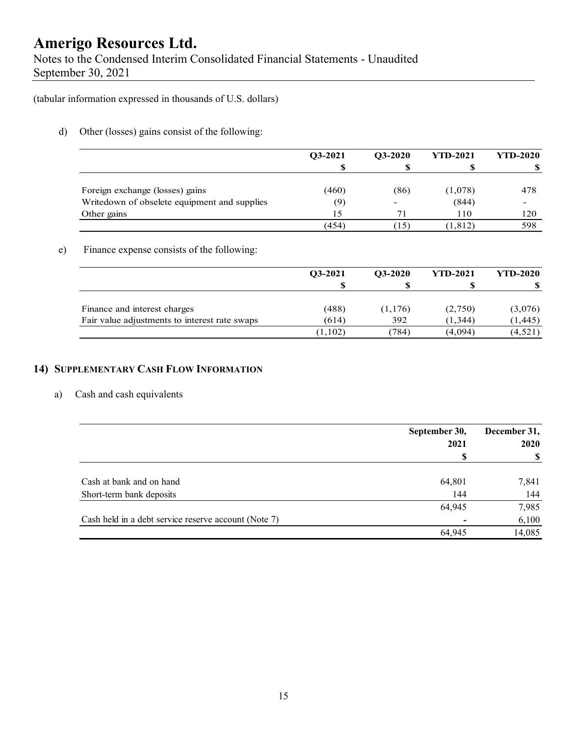Notes to the Condensed Interim Consolidated Financial Statements - Unaudited September 30, 2021

(tabular information expressed in thousands of U.S. dollars)

d) Other (losses) gains consist of the following:

|                                              | $O3-2021$ | $O3-2020$ | <b>YTD-2021</b> | <b>YTD-2020</b> |
|----------------------------------------------|-----------|-----------|-----------------|-----------------|
|                                              | S         |           |                 |                 |
| Foreign exchange (losses) gains              | (460)     | (86)      | (1,078)         | 478             |
| Writedown of obselete equipment and supplies | (9)       | -         | (844)           |                 |
| Other gains                                  | 15        | 71        | 110             | 120             |
|                                              | (454)     | (15)      | (1, 812)        | 598             |

#### e) Finance expense consists of the following:

|                                               | O3-2021  | $O3-2020$ | <b>YTD-2021</b> | <b>YTD-2020</b> |
|-----------------------------------------------|----------|-----------|-----------------|-----------------|
|                                               |          |           |                 |                 |
| Finance and interest charges                  | (488)    | (1,176)   | (2,750)         | (3,076)         |
| Fair value adjustments to interest rate swaps | (614)    | 392       | (1, 344)        | (1, 445)        |
|                                               | (1, 102) | 784)      | (4,094)         | (4, 521)        |

### **14) SUPPLEMENTARY CASH FLOW INFORMATION**

#### a) Cash and cash equivalents

|                                                      | September 30, | December 31, |  |
|------------------------------------------------------|---------------|--------------|--|
|                                                      | 2021          | <b>2020</b>  |  |
|                                                      | S             | -S           |  |
| Cash at bank and on hand                             | 64,801        | 7,841        |  |
| Short-term bank deposits                             | 144           | 144          |  |
|                                                      | 64,945        | 7,985        |  |
| Cash held in a debt service reserve account (Note 7) |               | 6,100        |  |
|                                                      | 64,945        | 14,085       |  |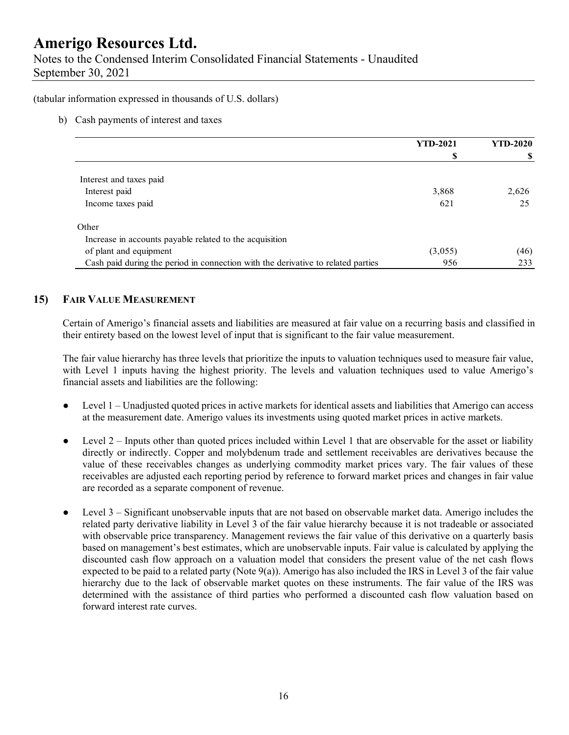Notes to the Condensed Interim Consolidated Financial Statements - Unaudited September 30, 2021

(tabular information expressed in thousands of U.S. dollars)

#### b) Cash payments of interest and taxes

|                                                                                  | <b>YTD-2021</b> | <b>YTD-2020</b> |
|----------------------------------------------------------------------------------|-----------------|-----------------|
|                                                                                  |                 |                 |
| Interest and taxes paid                                                          |                 |                 |
| Interest paid                                                                    | 3,868           | 2,626           |
| Income taxes paid                                                                | 621             | 25              |
| Other                                                                            |                 |                 |
| Increase in accounts payable related to the acquisition                          |                 |                 |
| of plant and equipment                                                           | (3,055)         | (46)            |
| Cash paid during the period in connection with the derivative to related parties | 956             | 233             |

### **15) FAIR VALUE MEASUREMENT**

Certain of Amerigo's financial assets and liabilities are measured at fair value on a recurring basis and classified in their entirety based on the lowest level of input that is significant to the fair value measurement.

The fair value hierarchy has three levels that prioritize the inputs to valuation techniques used to measure fair value, with Level 1 inputs having the highest priority. The levels and valuation techniques used to value Amerigo's financial assets and liabilities are the following:

- Level 1 Unadjusted quoted prices in active markets for identical assets and liabilities that Amerigo can access at the measurement date. Amerigo values its investments using quoted market prices in active markets.
- $\bullet$  Level 2 Inputs other than quoted prices included within Level 1 that are observable for the asset or liability directly or indirectly. Copper and molybdenum trade and settlement receivables are derivatives because the value of these receivables changes as underlying commodity market prices vary. The fair values of these receivables are adjusted each reporting period by reference to forward market prices and changes in fair value are recorded as a separate component of revenue.
- Level 3 Significant unobservable inputs that are not based on observable market data. Amerigo includes the related party derivative liability in Level 3 of the fair value hierarchy because it is not tradeable or associated with observable price transparency. Management reviews the fair value of this derivative on a quarterly basis based on management's best estimates, which are unobservable inputs. Fair value is calculated by applying the discounted cash flow approach on a valuation model that considers the present value of the net cash flows expected to be paid to a related party (Note 9(a)). Amerigo has also included the IRS in Level 3 of the fair value hierarchy due to the lack of observable market quotes on these instruments. The fair value of the IRS was determined with the assistance of third parties who performed a discounted cash flow valuation based on forward interest rate curves.